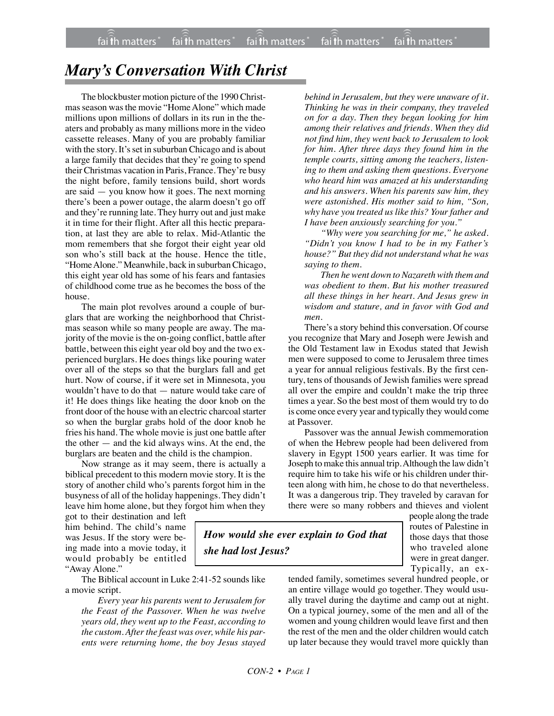## *Mary's Conversation With Christ*

The blockbuster motion picture of the 1990 Christmas season was the movie "Home Alone" which made millions upon millions of dollars in its run in the theaters and probably as many millions more in the video cassette releases. Many of you are probably familiar with the story. It's set in suburban Chicago and is about a large family that decides that they're going to spend their Christmas vacation in Paris, France. They're busy the night before, family tensions build, short words are said — you know how it goes. The next morning there's been a power outage, the alarm doesn't go off and they're running late. They hurry out and just make it in time for their flight. After all this hectic preparation, at last they are able to relax. Mid-Atlantic the mom remembers that she forgot their eight year old son who's still back at the house. Hence the title, "Home Alone." Meanwhile, back in suburban Chicago, this eight year old has some of his fears and fantasies of childhood come true as he becomes the boss of the house.

The main plot revolves around a couple of burglars that are working the neighborhood that Christmas season while so many people are away. The majority of the movie is the on-going conflict, battle after battle, between this eight year old boy and the two experienced burglars. He does things like pouring water over all of the steps so that the burglars fall and get hurt. Now of course, if it were set in Minnesota, you wouldn't have to do that — nature would take care of it! He does things like heating the door knob on the front door of the house with an electric charcoal starter so when the burglar grabs hold of the door knob he fries his hand. The whole movie is just one battle after the other — and the kid always wins. At the end, the burglars are beaten and the child is the champion.

Now strange as it may seem, there is actually a biblical precedent to this modern movie story. It is the story of another child who's parents forgot him in the busyness of all of the holiday happenings. They didn't leave him home alone, but they forgot him when they

got to their destination and left him behind. The child's name was Jesus. If the story were being made into a movie today, it would probably be entitled "Away Alone."

The Biblical account in Luke 2:41-52 sounds like a movie script.

*Every year his parents went to Jerusalem for the Feast of the Passover. When he was twelve years old, they went up to the Feast, according to the custom. After the feast was over, while his parents were returning home, the boy Jesus stayed*

*behind in Jerusalem, but they were unaware of it. Thinking he was in their company, they traveled on for a day. Then they began looking for him among their relatives and friends. When they did not find him, they went back to Jerusalem to look for him. After three days they found him in the temple courts, sitting among the teachers, listening to them and asking them questions. Everyone who heard him was amazed at his understanding and his answers. When his parents saw him, they were astonished. His mother said to him, "Son, why have you treated us like this? Your father and I have been anxiously searching for you."*

*"Why were you searching for me," he asked. "Didn't you know I had to be in my Father's house?" But they did not understand what he was saying to them.*

*Then he went down to Nazareth with them and was obedient to them. But his mother treasured all these things in her heart. And Jesus grew in wisdom and stature, and in favor with God and men.*

There's a story behind this conversation. Of course you recognize that Mary and Joseph were Jewish and the Old Testament law in Exodus stated that Jewish men were supposed to come to Jerusalem three times a year for annual religious festivals. By the first century, tens of thousands of Jewish families were spread all over the empire and couldn't make the trip three times a year. So the best most of them would try to do is come once every year and typically they would come at Passover.

Passover was the annual Jewish commemoration of when the Hebrew people had been delivered from slavery in Egypt 1500 years earlier. It was time for Joseph to make this annual trip. Although the law didn't require him to take his wife or his children under thirteen along with him, he chose to do that nevertheless. It was a dangerous trip. They traveled by caravan for there were so many robbers and thieves and violent

*How would she ever explain to God that she had lost Jesus?*

people along the trade routes of Palestine in those days that those who traveled alone were in great danger. Typically, an ex-

tended family, sometimes several hundred people, or an entire village would go together. They would usually travel during the daytime and camp out at night. On a typical journey, some of the men and all of the women and young children would leave first and then the rest of the men and the older children would catch up later because they would travel more quickly than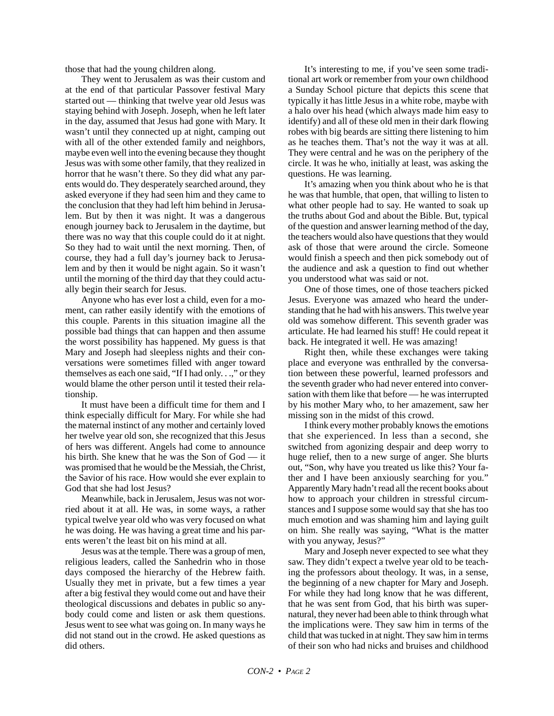those that had the young children along.

They went to Jerusalem as was their custom and at the end of that particular Passover festival Mary started out — thinking that twelve year old Jesus was staying behind with Joseph. Joseph, when he left later in the day, assumed that Jesus had gone with Mary. It wasn't until they connected up at night, camping out with all of the other extended family and neighbors, maybe even well into the evening because they thought Jesus was with some other family, that they realized in horror that he wasn't there. So they did what any parents would do. They desperately searched around, they asked everyone if they had seen him and they came to the conclusion that they had left him behind in Jerusalem. But by then it was night. It was a dangerous enough journey back to Jerusalem in the daytime, but there was no way that this couple could do it at night. So they had to wait until the next morning. Then, of course, they had a full day's journey back to Jerusalem and by then it would be night again. So it wasn't until the morning of the third day that they could actually begin their search for Jesus.

Anyone who has ever lost a child, even for a moment, can rather easily identify with the emotions of this couple. Parents in this situation imagine all the possible bad things that can happen and then assume the worst possibility has happened. My guess is that Mary and Joseph had sleepless nights and their conversations were sometimes filled with anger toward themselves as each one said, "If I had only. . .," or they would blame the other person until it tested their relationship.

It must have been a difficult time for them and I think especially difficult for Mary. For while she had the maternal instinct of any mother and certainly loved her twelve year old son, she recognized that this Jesus of hers was different. Angels had come to announce his birth. She knew that he was the Son of God — it was promised that he would be the Messiah, the Christ, the Savior of his race. How would she ever explain to God that she had lost Jesus?

Meanwhile, back in Jerusalem, Jesus was not worried about it at all. He was, in some ways, a rather typical twelve year old who was very focused on what he was doing. He was having a great time and his parents weren't the least bit on his mind at all.

Jesus was at the temple. There was a group of men, religious leaders, called the Sanhedrin who in those days composed the hierarchy of the Hebrew faith. Usually they met in private, but a few times a year after a big festival they would come out and have their theological discussions and debates in public so anybody could come and listen or ask them questions. Jesus went to see what was going on. In many ways he did not stand out in the crowd. He asked questions as did others.

It's interesting to me, if you've seen some traditional art work or remember from your own childhood a Sunday School picture that depicts this scene that typically it has little Jesus in a white robe, maybe with a halo over his head (which always made him easy to identify) and all of these old men in their dark flowing robes with big beards are sitting there listening to him as he teaches them. That's not the way it was at all. They were central and he was on the periphery of the circle. It was he who, initially at least, was asking the questions. He was learning.

It's amazing when you think about who he is that he was that humble, that open, that willing to listen to what other people had to say. He wanted to soak up the truths about God and about the Bible. But, typical of the question and answer learning method of the day, the teachers would also have questions that they would ask of those that were around the circle. Someone would finish a speech and then pick somebody out of the audience and ask a question to find out whether you understood what was said or not.

One of those times, one of those teachers picked Jesus. Everyone was amazed who heard the understanding that he had with his answers. This twelve year old was somehow different. This seventh grader was articulate. He had learned his stuff! He could repeat it back. He integrated it well. He was amazing!

Right then, while these exchanges were taking place and everyone was enthralled by the conversation between these powerful, learned professors and the seventh grader who had never entered into conversation with them like that before — he was interrupted by his mother Mary who, to her amazement, saw her missing son in the midst of this crowd.

I think every mother probably knows the emotions that she experienced. In less than a second, she switched from agonizing despair and deep worry to huge relief, then to a new surge of anger. She blurts out, "Son, why have you treated us like this? Your father and I have been anxiously searching for you." Apparently Mary hadn't read all the recent books about how to approach your children in stressful circumstances and I suppose some would say that she has too much emotion and was shaming him and laying guilt on him. She really was saying, "What is the matter with you anyway, Jesus?"

Mary and Joseph never expected to see what they saw. They didn't expect a twelve year old to be teaching the professors about theology. It was, in a sense, the beginning of a new chapter for Mary and Joseph. For while they had long know that he was different, that he was sent from God, that his birth was supernatural, they never had been able to think through what the implications were. They saw him in terms of the child that was tucked in at night. They saw him in terms of their son who had nicks and bruises and childhood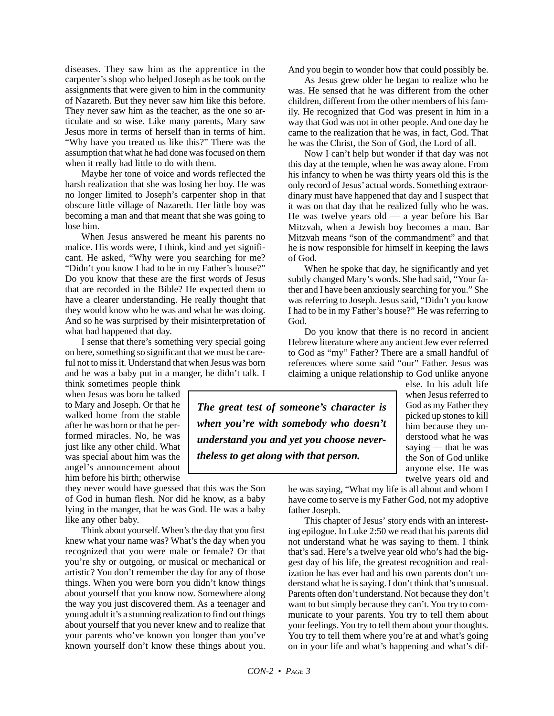diseases. They saw him as the apprentice in the carpenter's shop who helped Joseph as he took on the assignments that were given to him in the community of Nazareth. But they never saw him like this before. They never saw him as the teacher, as the one so articulate and so wise. Like many parents, Mary saw Jesus more in terms of herself than in terms of him. "Why have you treated us like this?" There was the assumption that what he had done was focused on them when it really had little to do with them.

Maybe her tone of voice and words reflected the harsh realization that she was losing her boy. He was no longer limited to Joseph's carpenter shop in that obscure little village of Nazareth. Her little boy was becoming a man and that meant that she was going to lose him.

When Jesus answered he meant his parents no malice. His words were, I think, kind and yet significant. He asked, "Why were you searching for me? "Didn't you know I had to be in my Father's house?" Do you know that these are the first words of Jesus that are recorded in the Bible? He expected them to have a clearer understanding. He really thought that they would know who he was and what he was doing. And so he was surprised by their misinterpretation of what had happened that day.

I sense that there's something very special going on here, something so significant that we must be careful not to miss it. Understand that when Jesus was born and he was a baby put in a manger, he didn't talk. I

think sometimes people think when Jesus was born he talked to Mary and Joseph. Or that he walked home from the stable after he was born or that he performed miracles. No, he was just like any other child. What was special about him was the angel's announcement about him before his birth; otherwise

they never would have guessed that this was the Son of God in human flesh. Nor did he know, as a baby lying in the manger, that he was God. He was a baby like any other baby.

Think about yourself. When's the day that you first knew what your name was? What's the day when you recognized that you were male or female? Or that you're shy or outgoing, or musical or mechanical or artistic? You don't remember the day for any of those things. When you were born you didn't know things about yourself that you know now. Somewhere along the way you just discovered them. As a teenager and young adult it's a stunning realization to find out things about yourself that you never knew and to realize that your parents who've known you longer than you've known yourself don't know these things about you. And you begin to wonder how that could possibly be.

As Jesus grew older he began to realize who he was. He sensed that he was different from the other children, different from the other members of his family. He recognized that God was present in him in a way that God was not in other people. And one day he came to the realization that he was, in fact, God. That he was the Christ, the Son of God, the Lord of all.

Now I can't help but wonder if that day was not this day at the temple, when he was away alone. From his infancy to when he was thirty years old this is the only record of Jesus' actual words. Something extraordinary must have happened that day and I suspect that it was on that day that he realized fully who he was. He was twelve years old — a year before his Bar Mitzvah, when a Jewish boy becomes a man. Bar Mitzvah means "son of the commandment" and that he is now responsible for himself in keeping the laws of God.

When he spoke that day, he significantly and yet subtly changed Mary's words. She had said, "Your father and I have been anxiously searching for you." She was referring to Joseph. Jesus said, "Didn't you know I had to be in my Father's house?" He was referring to God.

Do you know that there is no record in ancient Hebrew literature where any ancient Jew ever referred to God as "my" Father? There are a small handful of references where some said "our" Father. Jesus was claiming a unique relationship to God unlike anyone

*The great test of someone's character is when you're with somebody who doesn't understand you and yet you choose nevertheless to get along with that person.*

else. In his adult life when Jesus referred to God as my Father they picked up stones to kill him because they understood what he was saying — that he was the Son of God unlike anyone else. He was twelve years old and

he was saying, "What my life is all about and whom I have come to serve is my Father God, not my adoptive father Joseph.

This chapter of Jesus' story ends with an interesting epilogue. In Luke 2:50 we read that his parents did not understand what he was saying to them. I think that's sad. Here's a twelve year old who's had the biggest day of his life, the greatest recognition and realization he has ever had and his own parents don't understand what he is saying. I don't think that's unusual. Parents often don't understand. Not because they don't want to but simply because they can't. You try to communicate to your parents. You try to tell them about your feelings. You try to tell them about your thoughts. You try to tell them where you're at and what's going on in your life and what's happening and what's dif